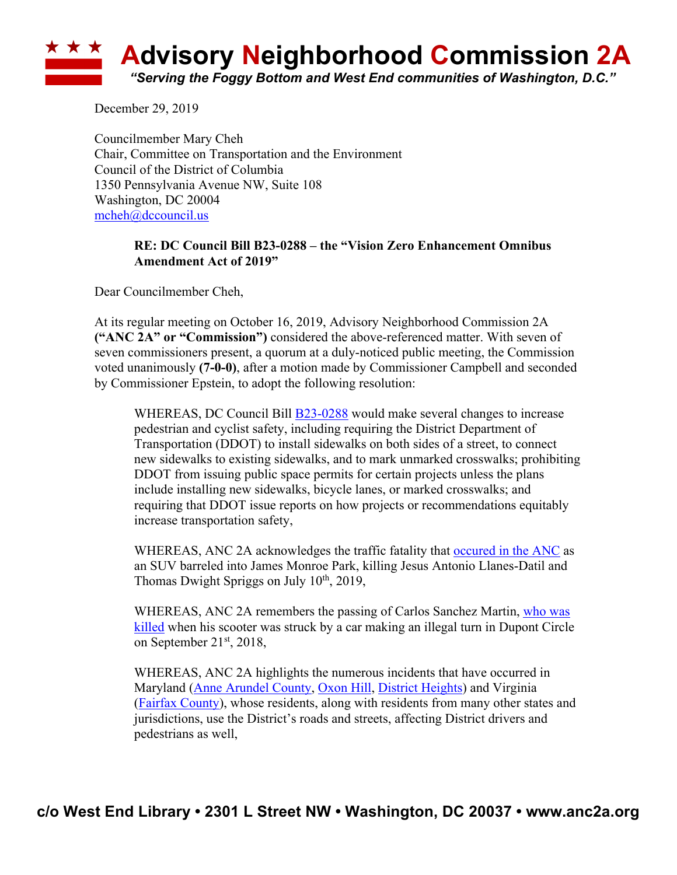

December 29, 2019

Councilmember Mary Cheh Chair, Committee on Transportation and the Environment Council of the District of Columbia 1350 Pennsylvania Avenue NW, Suite 108 Washington, DC 20004 mcheh@dccouncil.us

## **RE: DC Council Bill B23-0288 – the "Vision Zero Enhancement Omnibus Amendment Act of 2019"**

Dear Councilmember Cheh,

At its regular meeting on October 16, 2019, Advisory Neighborhood Commission 2A **("ANC 2A" or "Commission")** considered the above-referenced matter. With seven of seven commissioners present, a quorum at a duly-noticed public meeting, the Commission voted unanimously **(7-0-0)**, after a motion made by Commissioner Campbell and seconded by Commissioner Epstein, to adopt the following resolution:

WHEREAS, DC Council Bill **B23-0288** would make several changes to increase pedestrian and cyclist safety, including requiring the District Department of Transportation (DDOT) to install sidewalks on both sides of a street, to connect new sidewalks to existing sidewalks, and to mark unmarked crosswalks; prohibiting DDOT from issuing public space permits for certain projects unless the plans include installing new sidewalks, bicycle lanes, or marked crosswalks; and requiring that DDOT issue reports on how projects or recommendations equitably increase transportation safety,

WHEREAS, ANC 2A acknowledges the traffic fatality that occured in the ANC as an SUV barreled into James Monroe Park, killing Jesus Antonio Llanes-Datil and Thomas Dwight Spriggs on July  $10<sup>th</sup>$ , 2019,

WHEREAS, ANC 2A remembers the passing of Carlos Sanchez Martin, who was killed when his scooter was struck by a car making an illegal turn in Dupont Circle on September 21<sup>st</sup>, 2018,

WHEREAS, ANC 2A highlights the numerous incidents that have occurred in Maryland (Anne Arundel County, Oxon Hill, District Heights) and Virginia (Fairfax County), whose residents, along with residents from many other states and jurisdictions, use the District's roads and streets, affecting District drivers and pedestrians as well,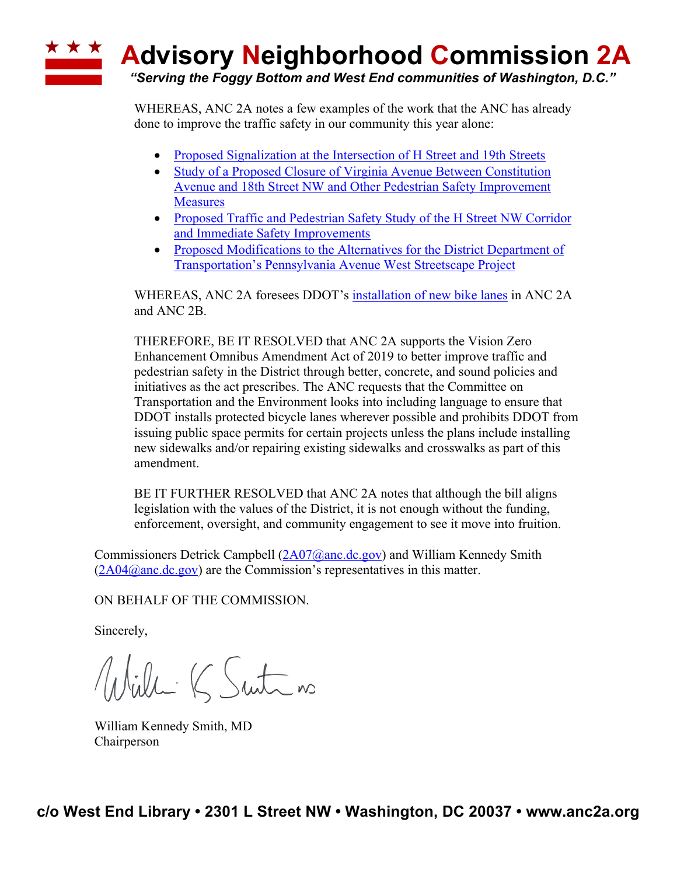WHEREAS, ANC 2A notes a few examples of the work that the ANC has already done to improve the traffic safety in our community this year alone:

- Proposed Signalization at the Intersection of H Street and 19th Streets
- Study of a Proposed Closure of Virginia Avenue Between Constitution Avenue and 18th Street NW and Other Pedestrian Safety Improvement **Measures**
- Proposed Traffic and Pedestrian Safety Study of the H Street NW Corridor and Immediate Safety Improvements
- Proposed Modifications to the Alternatives for the District Department of Transportation's Pennsylvania Avenue West Streetscape Project

WHEREAS, ANC 2A foresees DDOT's installation of new bike lanes in ANC 2A and ANC 2B.

THEREFORE, BE IT RESOLVED that ANC 2A supports the Vision Zero Enhancement Omnibus Amendment Act of 2019 to better improve traffic and pedestrian safety in the District through better, concrete, and sound policies and initiatives as the act prescribes. The ANC requests that the Committee on Transportation and the Environment looks into including language to ensure that DDOT installs protected bicycle lanes wherever possible and prohibits DDOT from issuing public space permits for certain projects unless the plans include installing new sidewalks and/or repairing existing sidewalks and crosswalks as part of this amendment.

BE IT FURTHER RESOLVED that ANC 2A notes that although the bill aligns legislation with the values of the District, it is not enough without the funding, enforcement, oversight, and community engagement to see it move into fruition.

Commissioners Detrick Campbell (2A07@anc.dc.gov) and William Kennedy Smith  $(2A04@anc.de.gov)$  are the Commission's representatives in this matter.

ON BEHALF OF THE COMMISSION.

Sincerely,

Willi K Suite no

William Kennedy Smith, MD Chairperson